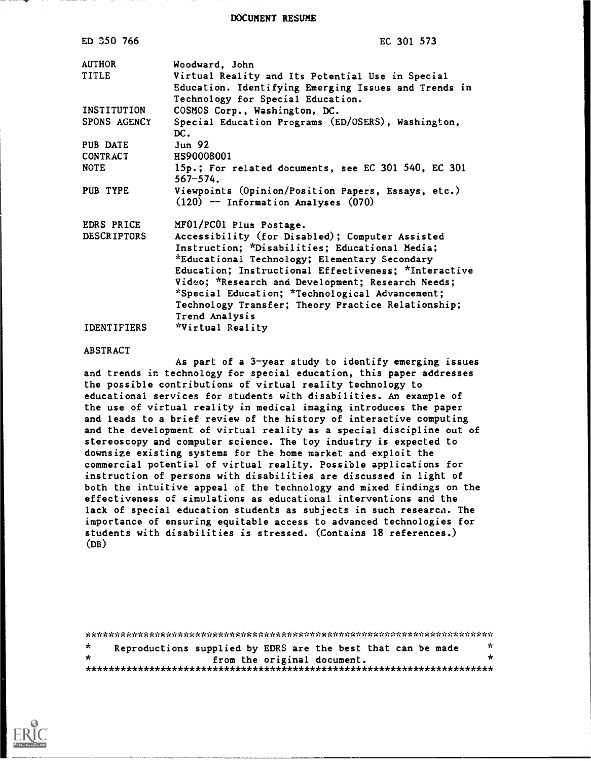DOCUMENT RESUME

| ED 350 766         | EC 301 573                                                                                                                                                                                                                                                                                                                                                  |
|--------------------|-------------------------------------------------------------------------------------------------------------------------------------------------------------------------------------------------------------------------------------------------------------------------------------------------------------------------------------------------------------|
| <b>AUTHOR</b>      | Woodward, John                                                                                                                                                                                                                                                                                                                                              |
| <b>TITLE</b>       | Virtual Reality and Its Potential Use in Special                                                                                                                                                                                                                                                                                                            |
|                    | Education. Identifying Emerging Issues and Trends in<br>Technology for Special Education.                                                                                                                                                                                                                                                                   |
| INSTITUTION        | COSMOS Corp., Washington, DC.                                                                                                                                                                                                                                                                                                                               |
| SPONS AGENCY       | Special Education Programs (ED/OSERS), Washington,<br>DC.                                                                                                                                                                                                                                                                                                   |
| PUB DATE           | Jun <sub>92</sub>                                                                                                                                                                                                                                                                                                                                           |
| <b>CONTRACT</b>    | HS90008001                                                                                                                                                                                                                                                                                                                                                  |
| <b>NOTE</b>        | 15p.; For related documents, see EC 301 540, EC 301<br>$567 - 574.$                                                                                                                                                                                                                                                                                         |
| PUB TYPE           | Viewpoints (Opinion/Position Papers, Essays, etc.)<br>$(120)$ -- Information Analyses $(070)$                                                                                                                                                                                                                                                               |
| EDRS PRICE         | MF01/PC01 Plus Postage.                                                                                                                                                                                                                                                                                                                                     |
| <b>DESCRIPTORS</b> | Accessibility (for Disabled); Computer Assisted                                                                                                                                                                                                                                                                                                             |
|                    |                                                                                                                                                                                                                                                                                                                                                             |
|                    |                                                                                                                                                                                                                                                                                                                                                             |
|                    |                                                                                                                                                                                                                                                                                                                                                             |
|                    |                                                                                                                                                                                                                                                                                                                                                             |
|                    |                                                                                                                                                                                                                                                                                                                                                             |
|                    |                                                                                                                                                                                                                                                                                                                                                             |
| <b>IDENTIFIERS</b> |                                                                                                                                                                                                                                                                                                                                                             |
|                    | Instruction; *Disabilities; Educational Media;<br>*Educational Technology; Elementary Secondary<br>Education; Instructional Effectiveness; *Interactive<br>Video; *Research and Development; Research Needs;<br>*Special Education; *Technological Advancement;<br>Technology Transfer; Theory Practice Relationship;<br>Trend Analysis<br>*Virtual Reality |

#### ABSTRACT

As part of a 3-year study to identify emerging issues and trends in technology for special education, this paper addresses the possible contributions of virtual reality technology to educational services for students with disabilities. An example of the use of virtual reality in medical imaging introduces the paper and leads to a brief review of the history of interactive computing and the development of virtual reality as a special discipline out of stereoscopy and computer science. The toy industry is expected to downsize existing systems for the home market and exploit the commercial potential of virtual reality. Possible applications for instruction of persons with disabilities are discussed in light of both the intuitive appeal of the technology and mixed findings on the effectiveness of simulations as educational interventions and the lack of special education students as subjects in such research. The importance of ensuring equitable access to advanced technologies for students with disabilities is stressed. (Contains 18 references.) (DB)

\*\*\*\*\*\*\*\*\*\*\*\*\*\*\*\*\*\*\*\*\*\*\*\*\*\*\*\*\*\*\*\*\*\*\*\*\*\*\*\*\*\*\*\*\*\*\*\*\*\*\*\*\*\*\*\*\*\*\*\*\*\*\*\*\*\*\*\*\*\*\*  $\mathbf{r}$ Reproductions supplied by EDRS are the best that can be made  $*$ from the original document. \*\*\*\*\*\*\*\*\*\*\*\*\*\*\*\*\*\*\*\*\*\*\*\*\*\*\*\*\*\*\*\*\*\*\*\*\*\*\*\*\*\*\*\*\*\*\*\*\*\*\*\*\*\*\*\*\*\*\*\*\*\*\*\*\*\*\*\*\*\*\*

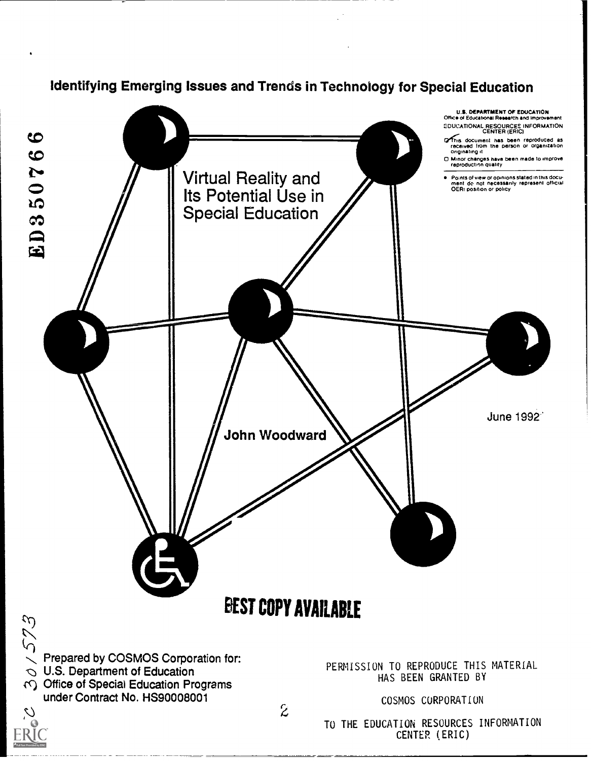



TO THE EDUCATION RESOURCES INFORMATION CENTER (ERIC)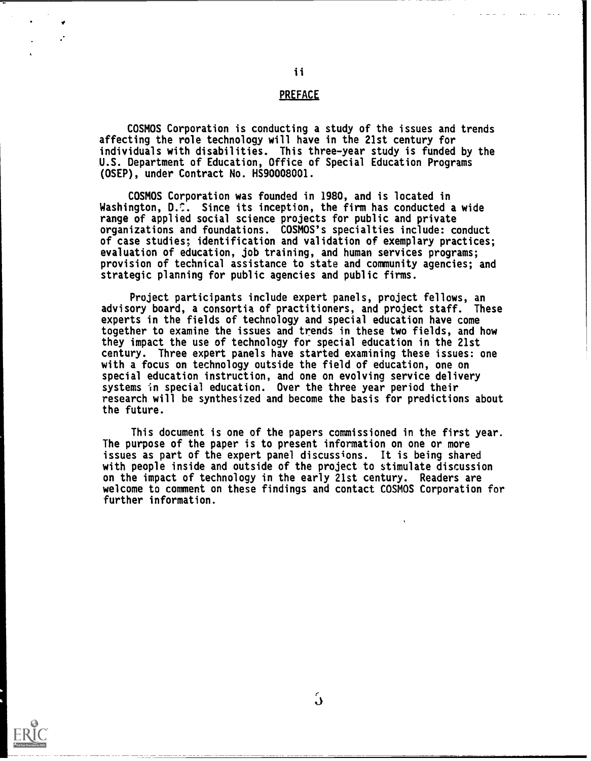# **PREFACE**

COSMOS Corporation is conducting a study of the issues and trends affecting the role technology will have in the 21st century for individuals with disabilities. This three-year study is funded by the U.S. Department of Education, Office of Special Education Programs (OSEP), under Contract No. HS90008001.

COSMOS Corporation was founded in 1980, and is located in Washington, D. S. Since its inception, the firm has conducted a wide range of applied social science projects for public and private organizations and foundations. COSMOS's specialties include: conduct of case studies; identification and validation of exemplary practices; evaluation of education, job training, and human services programs; provision of technical assistance to state and community agencies; and strategic planning for public agencies and public firms.

Project participants include expert panels, project fellows, an advisory board, a consortia of practitioners, and project staff. These experts in the fields of technology and special education have come together to examine the issues and trends in these two fields, and how they impact the use of technology for special education in the 21st century. Three expert panels have started examining these issues: one with a focus on technology outside the field of education, one on special education instruction, and one on evolving service delivery systems in special education. Over the three year period their research will be synthesized and become the basis for predictions about the future.

This document is one of the papers commissioned in the first year. The purpose of the paper is to present information on one or more issues as part of the expert panel discussions. It is being shared with people inside and outside of the project to stimulate discussion on the impact of technology in the early 21st century. Readers are welcome to comment on these findings and contact COSMOS Corporation for further information.

![](_page_2_Picture_5.jpeg)

 $\mathcal{L}$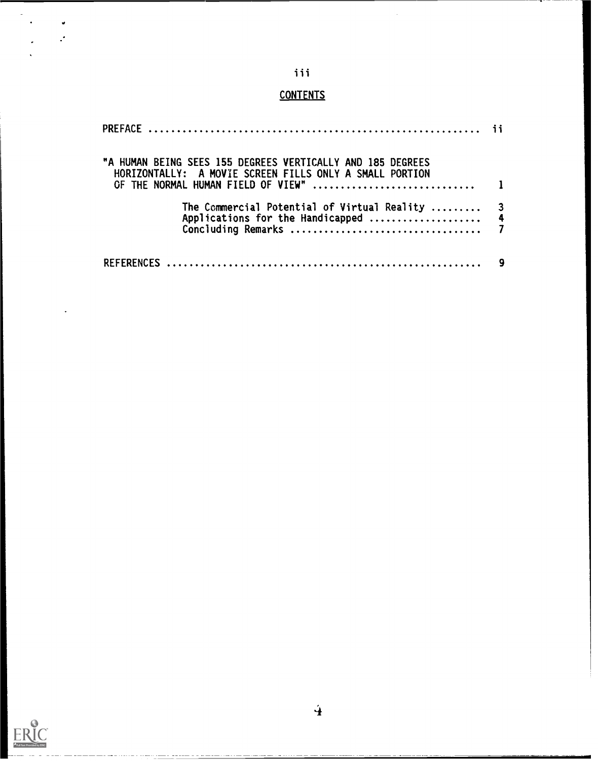# iii

 $\bar{z}$ 

# **CONTENTS**

| "A HUMAN BEING SEES 155 DEGREES VERTICALLY AND 185 DEGREES<br>HORIZONTALLY: A MOVIE SCREEN FILLS ONLY A SMALL PORTION |  |
|-----------------------------------------------------------------------------------------------------------------------|--|
|                                                                                                                       |  |
| The Commercial Potential of Virtual Reality  3                                                                        |  |
|                                                                                                                       |  |

![](_page_3_Picture_3.jpeg)

 $\cdot$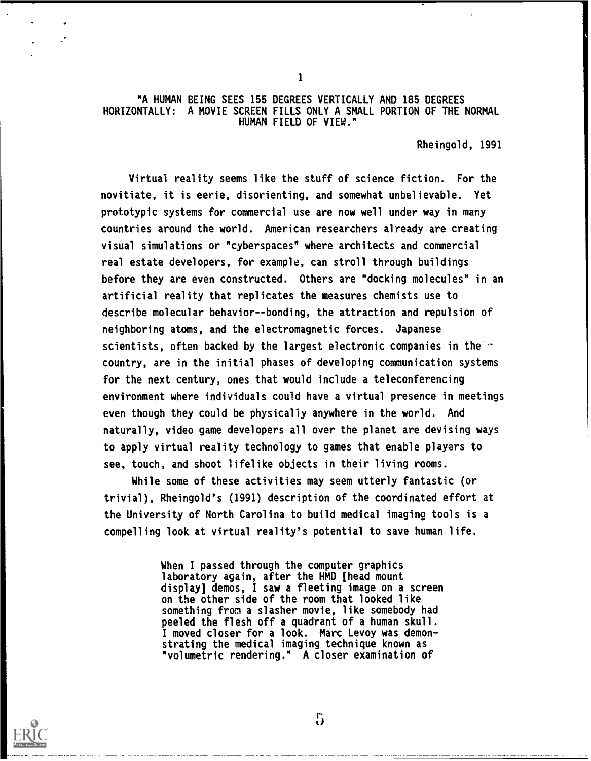# "A HUMAN BEING SEES 155 DEGREES VERTICALLY AND 185 DEGREES HORIZONTALLY: A MOVIE SCREEN FILLS ONLY A SMALL PORTION OF THE NORMAL HUMAN FIELD OF VIEW."

1

Rheingold, 1991

Virtual reality seems like the stuff of science fiction. For the novitiate, it is eerie, disorienting, and somewhat unbelievable. Yet prototypic systems for commercial use are now well under way in many countries around the world. American researchers already are creating visual simulations or "cyberspaces" where architects and commercial real estate developers, for example, can stroll through buildings before they are even constructed. Others are "docking molecules" in an artificial reality that replicates the measures chemists use to describe molecular behavior--bonding, the attraction and repulsion of neighboring atoms, and the electromagnetic forces. Japanese scientists, often backed by the largest electronic companies in the  $\sim$ country, are in the initial phases of developing communication systems for the next century, ones that would include a teleconferencing environment where individuals could have a virtual presence in meetings even though they could be physically anywhere in the world. And naturally, video game developers all over the planet are devising ways to apply virtual reality technology to games that enable players to see, touch, and shoot lifelike objects in their living rooms.

While some of these activities may seem utterly fantastic (or trivial), Rheingold's (1991) description of the coordinated effort at the University of North Carolina to build medical imaging tools is a compelling look at virtual reality's potential to save human life.

> When I passed through the computer graphics laboratory again, after the HMO [head mount display] demos, I saw a fleeting image on a screen on the other side of the room that looked like something from a slasher movie, like somebody had peeled the flesh off a quadrant of a human skull. I moved closer for a look. Marc Levoy was demonstrating the medical imaging technique known as "volumetric rendering." A closer examination of

![](_page_4_Picture_5.jpeg)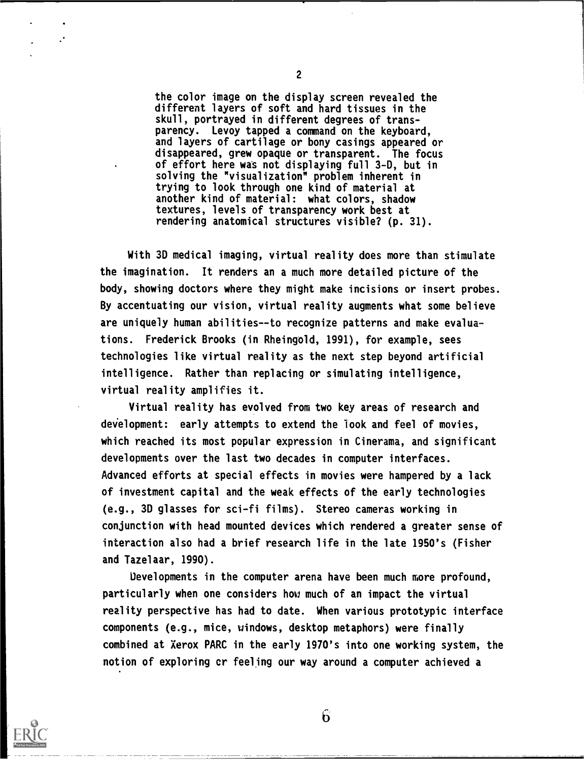the color image on the display screen revealed the different layers of soft and hard tissues in the skull, portrayed in different degrees of transparency. Levoy tapped a command on the keyboard, and layers of cartilage or bony casings appeared or disappeared, grew opaque or transparent. The focus of effort here was not displaying full 3-0, but in solving the "visualization" problem inherent in trying to look through one kind of material at another kind of material: what colors, shadow textures, levels of transparency work best at rendering anatomical structures visible? (p. 31).

With 3D medical imaging, virtual reality does more than stimulate the imagination. It renders an a much more detailed picture of the body, showing doctors where they might make incisions or insert probes. By accentuating our vision, virtual reality augments what some believe are uniquely human abilities--to recognize patterns and make evaluations. Frederick Brooks (in Rheingold, 1991), for example, sees technologies like virtual reality as the next step beyond artificial intelligence. Rather than replacing or simulating intelligence, virtual reality amplifies it.

Virtual reality has evolved from two key areas of research and development: early attempts to extend the look and feel of movies, which reached its most popular expression in Cinerama, and significant developments over the last two decades in computer interfaces. Advanced efforts at special effects in movies were hampered by a lack of investment capital and the weak effects of the early technologies (e.g., 3D glasses for sci-fi films). Stereo cameras working in conjunction with head mounted devices which rendered a greater sense of interaction also had a brief research life in the late 1950's (Fisher and Tazelaar, 1990).

Developments in the computer arena have been much more profound, particularly when one considers how much of an impact the virtual reality perspective has had to date. When various prototypic interface components (e.g., mice, windows, desktop metaphors) were finally combined at Xerox PARC in the early 1970's into one working system, the notion of exploring cr feeling our way around a computer achieved a

![](_page_5_Picture_4.jpeg)

2

 $6 \overline{)}$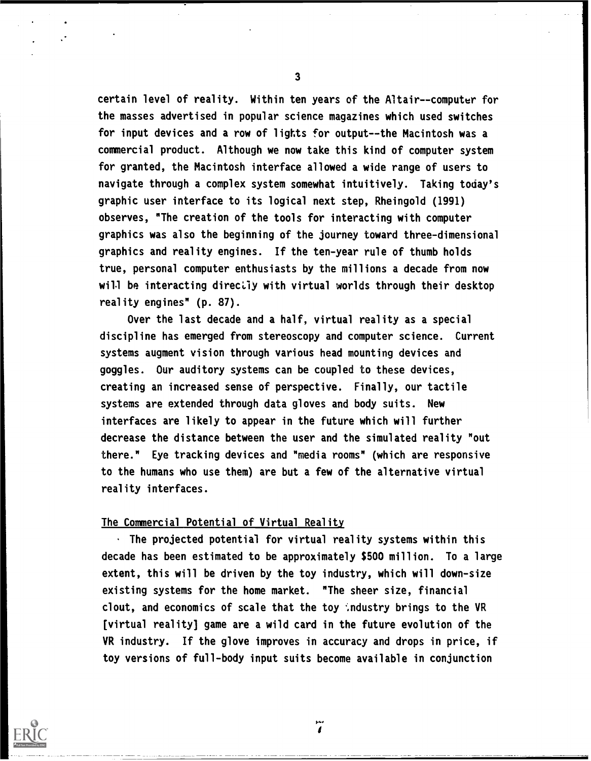certain level of reality. Within ten years of the Altair--computer for the masses advertised in popular science magazines which used switches for input devices and a row of lights for output--the Macintosh was a commercial product. Although we now take this kind of computer system for granted, the Macintosh interface allowed a wide range of users to navigate through a complex system somewhat intuitively. Taking today's graphic user interface to its logical next step, Rheingold (1991) observes, "The creation of the tools for interacting with computer graphics was also the beginning of the journey toward three-dimensional graphics and reality engines. If the ten-year rule of thumb holds true, personal computer enthusiasts by the millions a decade from now will be interacting directly with virtual worlds through their desktop reality engines" (p. 87).

Over the last decade and a half, virtual reality as a special discipline has emerged from stereoscopy and computer science. Current systems augment vision through various head mounting devices and goggles. Our auditory systems can be coupled to these devices, creating an increased sense of perspective. Finally, our tactile systems are extended through data gloves and body suits. New interfaces are likely to appear in the future which will further decrease the distance between the user and the simulated reality "out there." Eye tracking devices and "media rooms" (which are responsive to the humans who use them) are but a few of the alternative virtual reality interfaces.

# The Commercial Potential of Virtual Reality

 $\cdot$  The projected potential for virtual reality systems within this decade has been estimated to be approximately \$500 million. To a large extent, this will be driven by the toy industry, which will down-size existing systems for the home market. "The sheer size, financial clout, and economics of scale that the toy industry brings to the VR [virtual reality] game are a wild card in the future evolution of the VR industry. If the glove improves in accuracy and drops in price, if toy versions of full-body input suits become available in conjunction

![](_page_6_Picture_4.jpeg)

3

 $\dddot{\tilde{i}}$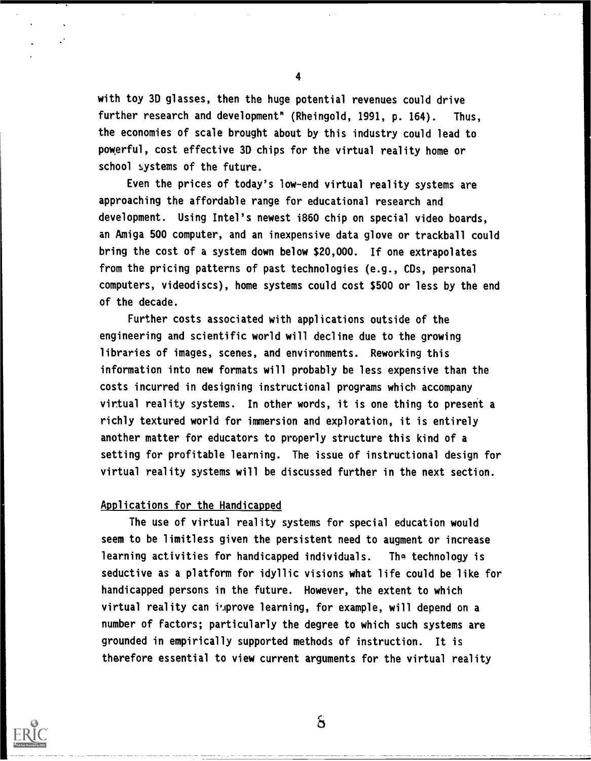with toy 3D glasses, then the huge potential revenues could drive further research and development" (Rheingold, 1991, p. 164). Thus, the economies of scale brought about by this industry could lead to powerful, cost effective 3D chips for the virtual reality home or school systems of the future.

Even the prices of today's low-end virtual reality systems are approaching the affordable range for educational research and development. Using Intel's newest i860 chip on special video boards, an Amiga 500 computer, and an inexpensive data glove or trackball could bring the cost of a system down below \$20,000. If one extrapolates from the pricing patterns of past technologies (e.g., CDs, personal computers, videodiscs), home systems could cost \$500 or less by the end of the decade.

Further costs associated with applications outside of the engineering and scientific world will decline due to the growing libraries of images, scenes, and environments. Reworking this information into new formats will probably be less expensive than the costs incurred in designing instructional programs which accompany virtual reality systems. In other words, it is one thing to present a richly textured world for immersion and exploration, it is entirely another matter for educators to properly structure this kind of a setting for profitable learning. The issue of instructional design for virtual reality systems will be discussed further in the next section.

### Applications for the Handicapped

The use of virtual reality systems for special education would seem to be limitless given the persistent need to augment or increase learning activities for handicapped individuals. Tha technology is seductive as a platform for idyllic visions what life could be like for handicapped persons in the future. However, the extent to which virtual reality can inprove learning, for example, will depend on a number of Factors; particularly the degree to which such systems are grounded in empirically supported methods of instruction. It is therefore essential to view current arguments for the virtual reality

![](_page_7_Picture_5.jpeg)

4

 $\mathbf{s}$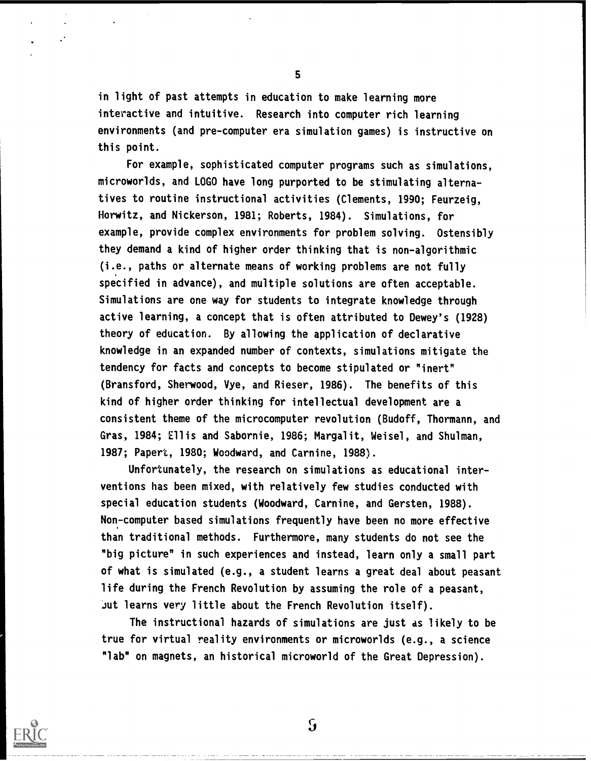in light of past attempts in education to make learning more interactive and intuitive. Research into computer rich learning environments (and pre-computer era simulation games) is instructive on this point.

For example, sophisticated computer programs such as simulations, microworlds, and LOGO have long purported to be stimulating alternatives to routine instructional activities (Clements, 1990; Feurzeig, Horwitz, and Nickerson, 1981; Roberts, 1984). Simulations, for example, provide complex environments for problem solving. Ostensibly they demand a kind of higher order thinking that is non-algorithmic (i.e., paths or alternate means of working problems are not fully specified in advance), and multiple solutions are often acceptable. Simulations are one way for students to integrate knowledge through active learning, a concept that is often attributed to Dewey's (1928) theory of education. By allowing the application of declarative knowledge in an expanded number of contexts, simulations mitigate the tendency for facts and concepts to become stipulated or "inert" (Bransford, Sherwood, Vye, and Rieser, 1986). The benefits of this kind of higher order thinking for intellectual development are a consistent theme of the microcomputer revolution (Budoff, Thormann, and Gras, 1984; Ellis and Sabornie, 1986; Margalit, Weisel, and Shulman, 1987; Papert, 1980; Woodward, and Carnine, 1988).

Unfortunately, the research on simulations as educational interventions has been mixed, with relatively few studies conducted with special education students (Woodward, Carnine, and Gersten, 1988). Non-computer based simulations frequently have been no more effective than traditional methods. Furthermore, many students do not see the "big picture" in such experiences and instead, learn only a small part of what is simulated (e.g., a student learns a great deal about peasant life during the French Revolution by assuming the role of a peasant, Jut learns very little about the French Revolution itself).

The instructional hazards of simulations are just as likely to be true for virtual reality environments or microworlds (e.g., a science "lab" on magnets, an historical microworld of the Great Depression).

![](_page_8_Picture_4.jpeg)

5

 $\mathbf{S}$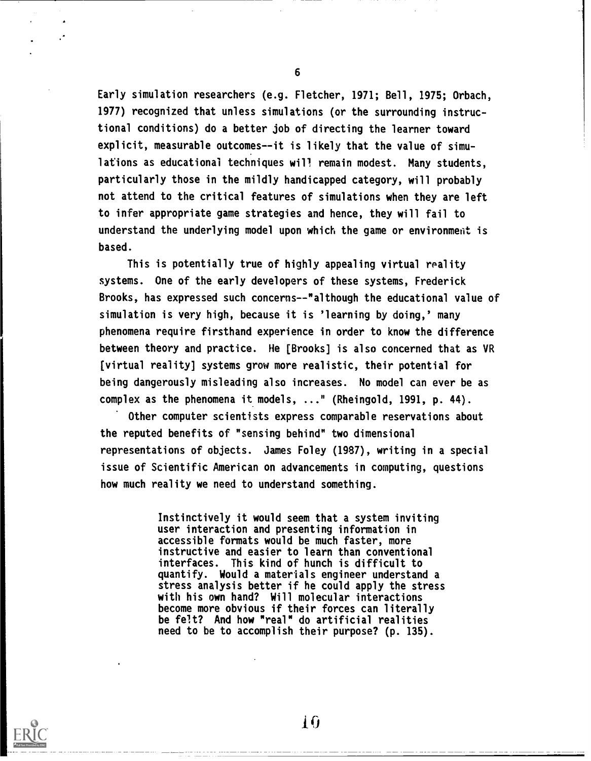Early simulation researchers (e.g. Fletcher, 1971; Bell, 1975; Orbach, 1977) recognized that unless simulations (or the surrounding instructional conditions) do a better job of directing the learner toward explicit, measurable outcomes--it is likely that the value of simulations as educational techniques will remain modest. Many students, particularly those in the mildly handicapped category, will probably not attend to the critical features of simulations when they are left to infer appropriate game strategies and hence, they will fail to understand the underlying model upon which the game or environment is based.

This is potentially true of highly appealing virtual reality systems. One of the early developers of these systems, Frederick Brooks, has expressed such concerns--"although the educational value of simulation is very high, because it is 'learning by doing,' many phenomena require firsthand experience in order to know the difference between theory and practice. He [Brooks] is also concerned that as VR [virtual reality] systems grow more realistic, their potential for being dangerously misleading also increases. No model can ever be as complex as the phenomena it models,  $\dots$ " (Rheingold, 1991, p. 44).

Other computer scientists express comparable reservations about the reputed benefits of "sensing behind" two dimensional representations of objects. James Foley (1987), writing in a special issue of Scientific American on advancements in computing, questions how much reality we need to understand something.

> Instinctively it would seem that a system inviting user interaction and presenting information in accessible formats would be much faster, more instructive and easier to learn than conventional interfaces. This kind of hunch is difficult to quantify. Would a materials engineer understand a stress analysis better if he could apply the stress with his own hand? Will molecular interactions become more obvious if their forces can literally be felt? And how "real" do artificial realities need to be to accomplish their purpose? (p. 135).

![](_page_9_Picture_4.jpeg)

6

10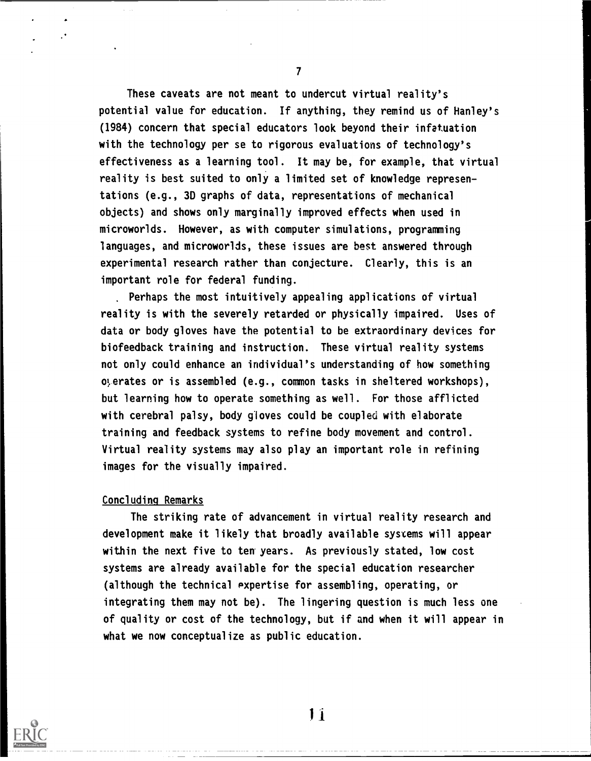These caveats are not meant to undercut virtual reality's potential value for education. If anything, they remind us of Hanley's (1984) concern that special educators look beyond their infatuation with the technology per se to rigorous evaluations of technology's effectiveness as a learning tool. It may be, for example, that virtual reality is best suited to only a limited set of knowledge representations (e.g., 30 graphs of data, representations of mechanical objects) and shows only marginally improved effects when used in microworlds. However, as with computer simulations, programming languages, and microworlds, these issues are best answered through experimental research rather than conjecture. Clearly, this is an important role for federal funding.

Perhaps the most intuitively appealing applications of virtual reality is with the severely retarded or physically impaired. Uses of data or body gloves have the potential to be extraordinary devices for biofeedback training and instruction. These virtual reality systems not only could enhance an individual's understanding of how something operates or is assembled (e.g., common tasks in sheltered workshops), but learning how to operate something as well. For those afflicted with cerebral palsy, body gloves could be coupled with elaborate training and feedback systems to refine body movement and control. Virtual reality systems may also play an important role in refining images for the visually impaired.

## Concluding Remarks

The striking rate of advancement in virtual reality research and development make it likely that broadly available systems will appear within the next five to ten years. As previously stated, low cost systems are already available for the special education researcher (although the technical expertise for assembling, operating, or integrating them may not be). The lingering question is much less one of quality or cost of the technology, but if and when it will appear in what we now conceptualize as public education.

![](_page_10_Picture_4.jpeg)

 $\mathbf{r}$  and  $\mathbf{r}$ 

 $11$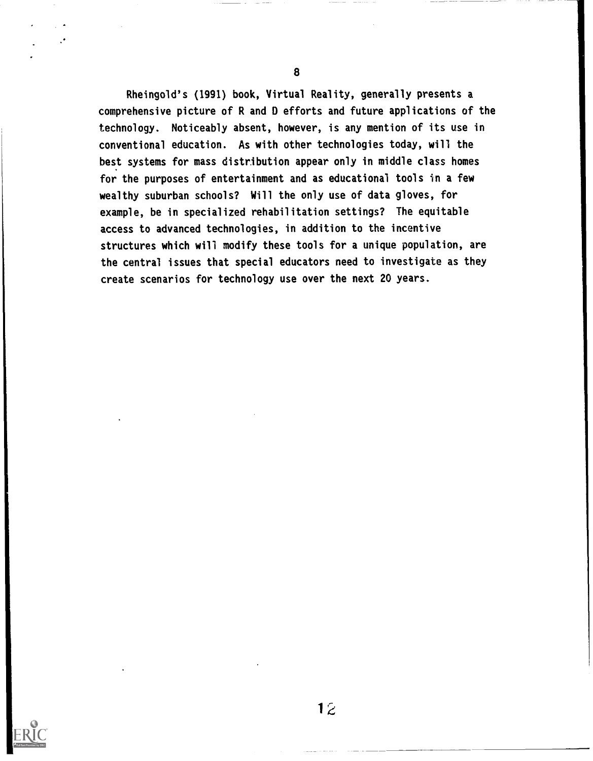Rheingold's (1991) book, Virtual Reality, generally presents a comprehensive picture of R and D efforts and future applications of the technology. Noticeably absent, however, is any mention of its use in conventional education. As with other technologies today, will the best systems for mass distribution appear only in middle class homes for the purposes of entertainment and as educational tools in a few wealthy suburban schools? Will the only use of data gloves, for example, be in specialized rehabilitation settings? The equitable access to advanced technologies, in addition to the incentive structures which will modify these tools for a unique population, are the central issues that special educators need to investigate as they create scenarios for technology use over the next 20 years.

![](_page_11_Picture_2.jpeg)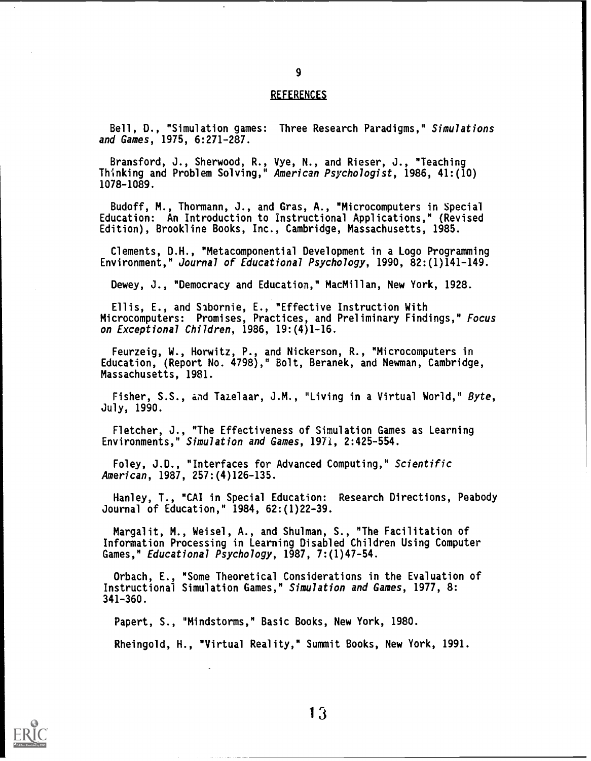#### **REFERENCES**

Bell, D., "Simulation games: Three Research Paradigms," Simulations and Games, 1975, 6:271-287.

Bransford, J., Sherwood, R., Vye, N., and Rieser, J., "Teaching Thinking and Problem Solving," American Psychologist, 1986, 41:(10) 1078-1089.

Budoff, M., Thormann, J., and Gras, A., "Microcomputers in Special Education: An Introduction to Instructional Applications," (Revised Edition), Brookline Books, Inc., Cambridge, Massachusetts, 1985.

Clements, D.H., "Metacomponential Development in a Logo Programming Environment," Journal of Educational Psychology, 1990, 82:(1)141-149.

Dewey, J., "Democracy and Education," MacMillan, New York, 1928.

Ellis, E., and Sabornie, E., "Effective Instruction With Microcomputers: Promises, Practices, and Preliminary Findings," Focus on Exceptional Children, 1986, 19:(4)1-16.

Feurzeig, W., Horwitz, P., and Nickerson, R., "Microcomputers in Education, (Report No. 4798)," Bolt, Beranek, and Newman, Cambridge, Massachusetts, 1981.

Fisher, S.S., and Tazelaar, J.M., "Living in a Virtual World," Byte, July, 1990.

Fletcher, J., "The Effectiveness of Simulation Games as Learning Environments," Simulation and Games, 1971, 2:425-554.

Foley, J.D., "Interfaces for Advanced Computing," Scientific American, 1987, 257:(4)126-135.

Hanley, T., "CAI in Special Education: Research Directions, Peabody Journal of Education," 1984, 62:(1)22-39.

Margalit, M., Weisel, A., and Shulman, S., "The Facilitation of Information Processing in Learning Disabled Children Using Computer Games," Educational Psychology, 1987, 7:(1)47-54.

Orbach, E., "Some Theoretical Considerations in the Evaluation of Instructional Simulation Games," Simulation and Games, 1977, 8: 341-360.

Papert, S., "Mindstorms," Basic Books, New York, 1980.

Rheingold, H., "Virtual Reality," Summit Books, New York, 1991.

![](_page_12_Picture_16.jpeg)

9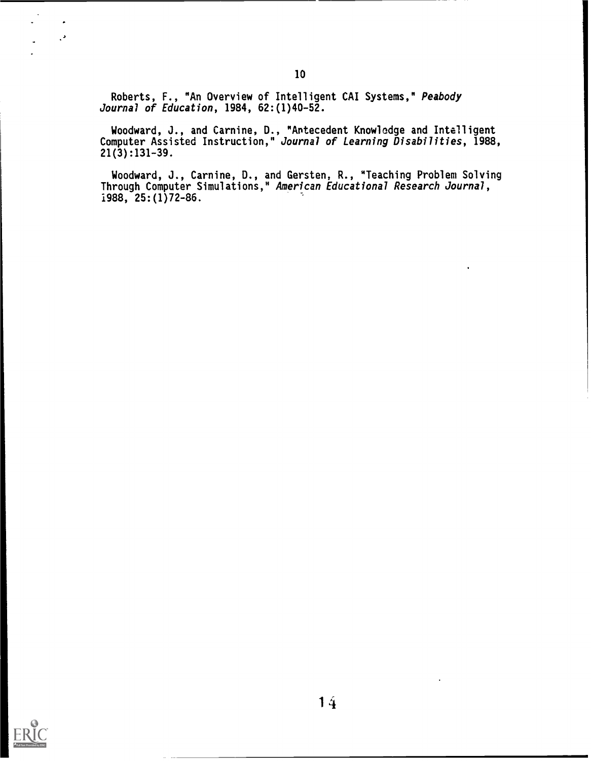Roberts, F., "An Overview of Intelligent CAI Systems," Peabody Journal of Education, 1984, 62:(1)40-52.

Woodward, J., and Carnine, D., "Antecedent Knowledge and Intelligent Computer Assisted Instruction," Journal of Learning Disabilities, 1988, 21(3):131-39.

Woodward, J., Carnine, D., and Gersten, R., "Teaching Problem Solving Through Computer Simulations," American Educational Research Journal, 1988, 25:(1)72-86.

![](_page_13_Picture_3.jpeg)

 $\cdot$